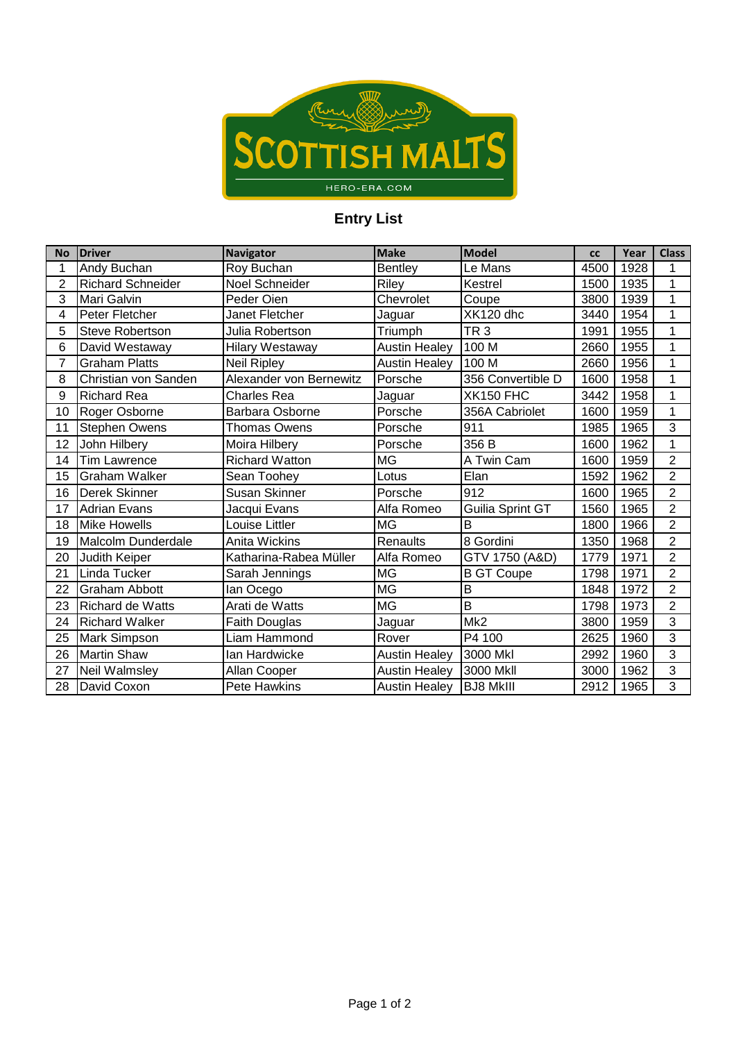

## **Entry List**

| <b>No</b>      | <b>Driver</b>            | <b>Navigator</b>        | <b>Make</b>          | <b>Model</b>      | <b>CC</b> | Year | <b>Class</b>   |
|----------------|--------------------------|-------------------------|----------------------|-------------------|-----------|------|----------------|
| 1              | Andy Buchan              | Roy Buchan              | <b>Bentley</b>       | Le Mans           | 4500      | 1928 | 1              |
| $\overline{2}$ | <b>Richard Schneider</b> | Noel Schneider          | Riley                | Kestrel           | 1500      | 1935 | 1              |
| 3              | Mari Galvin              | Peder Oien              | Chevrolet            | Coupe             | 3800      | 1939 | 1              |
| 4              | Peter Fletcher           | Janet Fletcher          | Jaguar               | XK120 dhc         | 3440      | 1954 | 1              |
| 5              | Steve Robertson          | Julia Robertson         | Triumph              | TR <sub>3</sub>   | 1991      | 1955 | 1              |
| 6              | David Westaway           | <b>Hilary Westaway</b>  | <b>Austin Healey</b> | 100 M             | 2660      | 1955 | 1              |
| 7              | <b>Graham Platts</b>     | Neil Ripley             | <b>Austin Healey</b> | 100 M             | 2660      | 1956 | 1              |
| 8              | Christian von Sanden     | Alexander von Bernewitz | Porsche              | 356 Convertible D | 1600      | 1958 | 1              |
| 9              | <b>Richard Rea</b>       | Charles Rea             | Jaguar               | <b>XK150 FHC</b>  | 3442      | 1958 | 1              |
| 10             | Roger Osborne            | Barbara Osborne         | Porsche              | 356A Cabriolet    | 1600      | 1959 | 1              |
| 11             | Stephen Owens            | <b>Thomas Owens</b>     | Porsche              | 911               | 1985      | 1965 | 3              |
| 12             | John Hilbery             | Moira Hilbery           | Porsche              | 356 B             | 1600      | 1962 | 1              |
| 14             | <b>Tim Lawrence</b>      | <b>Richard Watton</b>   | MG                   | A Twin Cam        | 1600      | 1959 | $\overline{2}$ |
| 15             | <b>Graham Walker</b>     | Sean Toohey             | Lotus                | Elan              | 1592      | 1962 | $\overline{2}$ |
| 16             | Derek Skinner            | Susan Skinner           | Porsche              | 912               | 1600      | 1965 | $\overline{2}$ |
| 17             | <b>Adrian Evans</b>      | Jacqui Evans            | Alfa Romeo           | Guilia Sprint GT  | 1560      | 1965 | $\overline{2}$ |
| 18             | <b>Mike Howells</b>      | Louise Littler          | <b>MG</b>            | B                 | 1800      | 1966 | $\overline{2}$ |
| 19             | Malcolm Dunderdale       | Anita Wickins           | Renaults             | 8 Gordini         | 1350      | 1968 | $\overline{2}$ |
| 20             | Judith Keiper            | Katharina-Rabea Müller  | Alfa Romeo           | GTV 1750 (A&D)    | 1779      | 1971 | $\overline{2}$ |
| 21             | Linda Tucker             | Sarah Jennings          | <b>MG</b>            | <b>B GT Coupe</b> | 1798      | 1971 | $\overline{2}$ |
| 22             | <b>Graham Abbott</b>     | lan Ocego               | <b>MG</b>            | B                 | 1848      | 1972 | $\overline{2}$ |
| 23             | <b>Richard de Watts</b>  | Arati de Watts          | <b>MG</b>            | B                 | 1798      | 1973 | $\overline{2}$ |
| 24             | <b>Richard Walker</b>    | Faith Douglas           | Jaguar               | Mk <sub>2</sub>   | 3800      | 1959 | $\overline{3}$ |
| 25             | Mark Simpson             | Liam Hammond            | Rover                | P4 100            | 2625      | 1960 | 3              |
| 26             | <b>Martin Shaw</b>       | lan Hardwicke           | <b>Austin Healey</b> | 3000 Mkl          | 2992      | 1960 | 3              |
| 27             | Neil Walmsley            | Allan Cooper            | <b>Austin Healey</b> | 3000 Mkll         | 3000      | 1962 | 3              |
| 28             | David Coxon              | <b>Pete Hawkins</b>     | <b>Austin Healey</b> | <b>BJ8 MkIII</b>  | 2912      | 1965 | 3              |